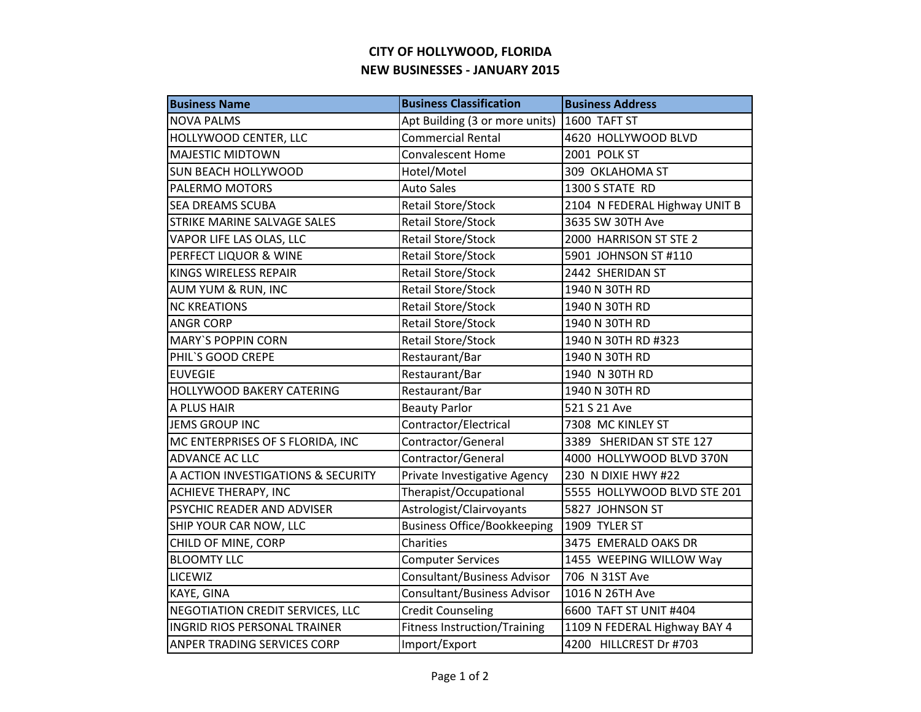## **CITY OF HOLLYWOOD, FLORIDA NEW BUSINESSES - JANUARY 2015**

| <b>Business Name</b>                | <b>Business Classification</b>      | <b>Business Address</b>       |
|-------------------------------------|-------------------------------------|-------------------------------|
| <b>NOVA PALMS</b>                   | Apt Building (3 or more units)      | 1600 TAFT ST                  |
| HOLLYWOOD CENTER, LLC               | <b>Commercial Rental</b>            | 4620 HOLLYWOOD BLVD           |
| <b>MAJESTIC MIDTOWN</b>             | <b>Convalescent Home</b>            | 2001 POLK ST                  |
| <b>SUN BEACH HOLLYWOOD</b>          | Hotel/Motel                         | 309 OKLAHOMA ST               |
| PALERMO MOTORS                      | <b>Auto Sales</b>                   | 1300 S STATE RD               |
| <b>SEA DREAMS SCUBA</b>             | <b>Retail Store/Stock</b>           | 2104 N FEDERAL Highway UNIT B |
| STRIKE MARINE SALVAGE SALES         | Retail Store/Stock                  | 3635 SW 30TH Ave              |
| VAPOR LIFE LAS OLAS, LLC            | <b>Retail Store/Stock</b>           | 2000 HARRISON ST STE 2        |
| PERFECT LIQUOR & WINE               | <b>Retail Store/Stock</b>           | 5901 JOHNSON ST #110          |
| KINGS WIRELESS REPAIR               | <b>Retail Store/Stock</b>           | 2442 SHERIDAN ST              |
| AUM YUM & RUN, INC                  | <b>Retail Store/Stock</b>           | 1940 N 30TH RD                |
| <b>NC KREATIONS</b>                 | <b>Retail Store/Stock</b>           | 1940 N 30TH RD                |
| <b>ANGR CORP</b>                    | <b>Retail Store/Stock</b>           | 1940 N 30TH RD                |
| <b>MARY'S POPPIN CORN</b>           | <b>Retail Store/Stock</b>           | 1940 N 30TH RD #323           |
| PHIL'S GOOD CREPE                   | Restaurant/Bar                      | 1940 N 30TH RD                |
| <b>EUVEGIE</b>                      | Restaurant/Bar                      | 1940 N 30TH RD                |
| HOLLYWOOD BAKERY CATERING           | Restaurant/Bar                      | 1940 N 30TH RD                |
| A PLUS HAIR                         | <b>Beauty Parlor</b>                | 521 S 21 Ave                  |
| <b>JEMS GROUP INC</b>               | Contractor/Electrical               | 7308 MC KINLEY ST             |
| MC ENTERPRISES OF S FLORIDA, INC    | Contractor/General                  | 3389 SHERIDAN ST STE 127      |
| ADVANCE AC LLC                      | Contractor/General                  | 4000 HOLLYWOOD BLVD 370N      |
| A ACTION INVESTIGATIONS & SECURITY  | Private Investigative Agency        | 230 N DIXIE HWY #22           |
| <b>ACHIEVE THERAPY, INC</b>         | Therapist/Occupational              | 5555 HOLLYWOOD BLVD STE 201   |
| PSYCHIC READER AND ADVISER          | Astrologist/Clairvoyants            | 5827 JOHNSON ST               |
| SHIP YOUR CAR NOW, LLC              | <b>Business Office/Bookkeeping</b>  | 1909 TYLER ST                 |
| CHILD OF MINE, CORP                 | Charities                           | 3475 EMERALD OAKS DR          |
| <b>BLOOMTY LLC</b>                  | <b>Computer Services</b>            | 1455 WEEPING WILLOW Way       |
| <b>LICEWIZ</b>                      | Consultant/Business Advisor         | 706 N 31ST Ave                |
| KAYE, GINA                          | Consultant/Business Advisor         | 1016 N 26TH Ave               |
| NEGOTIATION CREDIT SERVICES, LLC    | <b>Credit Counseling</b>            | 6600 TAFT ST UNIT #404        |
| <b>INGRID RIOS PERSONAL TRAINER</b> | <b>Fitness Instruction/Training</b> | 1109 N FEDERAL Highway BAY 4  |
| ANPER TRADING SERVICES CORP         | Import/Export                       | 4200 HILLCREST Dr #703        |